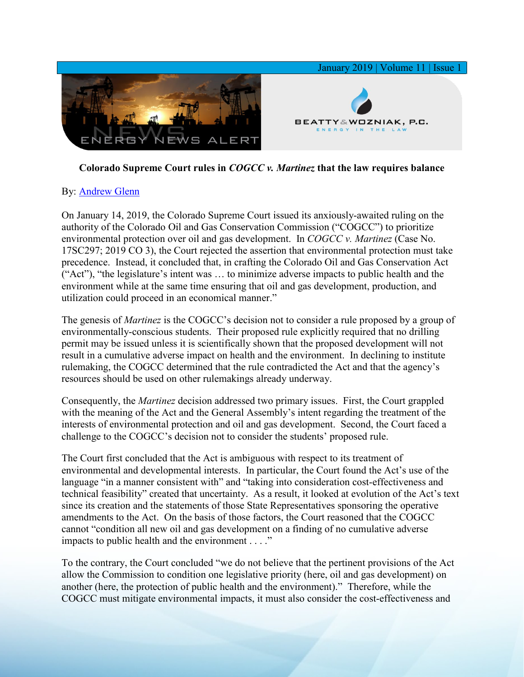

## **Colorado Supreme Court rules in** *COGCC v. Martinez* **that the law requires balance**

## By: [Andrew Glenn](https://www.bwenergylaw.com/andrew-glenn)

On January 14, 2019, the Colorado Supreme Court issued its anxiously-awaited ruling on the authority of the Colorado Oil and Gas Conservation Commission ("COGCC") to prioritize environmental protection over oil and gas development. In *COGCC v. Martinez* (Case No. 17SC297; 2019 CO 3), the Court rejected the assertion that environmental protection must take precedence. Instead, it concluded that, in crafting the Colorado Oil and Gas Conservation Act ("Act"), "the legislature's intent was … to minimize adverse impacts to public health and the environment while at the same time ensuring that oil and gas development, production, and utilization could proceed in an economical manner."

The genesis of *Martinez* is the COGCC's decision not to consider a rule proposed by a group of environmentally-conscious students. Their proposed rule explicitly required that no drilling permit may be issued unless it is scientifically shown that the proposed development will not result in a cumulative adverse impact on health and the environment. In declining to institute rulemaking, the COGCC determined that the rule contradicted the Act and that the agency's resources should be used on other rulemakings already underway.

Consequently, the *Martinez* decision addressed two primary issues. First, the Court grappled with the meaning of the Act and the General Assembly's intent regarding the treatment of the interests of environmental protection and oil and gas development. Second, the Court faced a challenge to the COGCC's decision not to consider the students' proposed rule.

The Court first concluded that the Act is ambiguous with respect to its treatment of environmental and developmental interests. In particular, the Court found the Act's use of the language "in a manner consistent with" and "taking into consideration cost-effectiveness and technical feasibility" created that uncertainty. As a result, it looked at evolution of the Act's text since its creation and the statements of those State Representatives sponsoring the operative amendments to the Act. On the basis of those factors, the Court reasoned that the COGCC cannot "condition all new oil and gas development on a finding of no cumulative adverse impacts to public health and the environment . . . ."

To the contrary, the Court concluded "we do not believe that the pertinent provisions of the Act allow the Commission to condition one legislative priority (here, oil and gas development) on another (here, the protection of public health and the environment)." Therefore, while the COGCC must mitigate environmental impacts, it must also consider the cost-effectiveness and